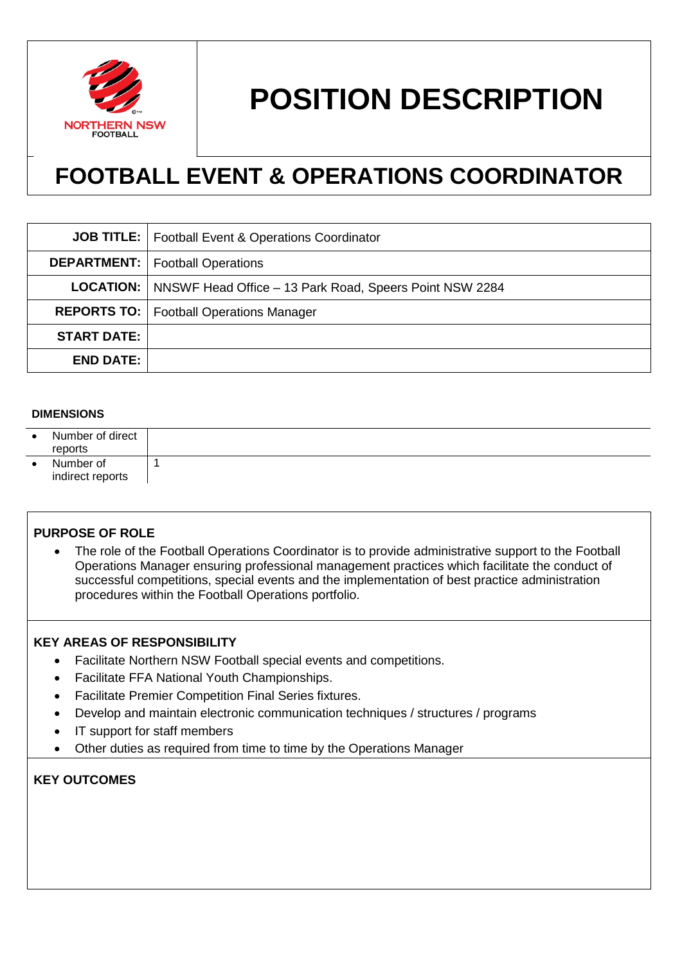

# **POSITION DESCRIPTION**

# **FOOTBALL EVENT & OPERATIONS COORDINATOR**

|                    | <b>JOB TITLE:</b>   Football Event & Operations Coordinator                |
|--------------------|----------------------------------------------------------------------------|
|                    | <b>DEPARTMENT:</b>   Football Operations                                   |
|                    | <b>LOCATION:</b>   NNSWF Head Office – 13 Park Road, Speers Point NSW 2284 |
|                    | <b>REPORTS TO:</b>   Football Operations Manager                           |
| <b>START DATE:</b> |                                                                            |
| <b>END DATE:</b>   |                                                                            |

#### **DIMENSIONS**

| $\bullet$ | Number of direct<br>reports   |  |
|-----------|-------------------------------|--|
|           | Number of<br>indirect reports |  |

#### **PURPOSE OF ROLE**

• The role of the Football Operations Coordinator is to provide administrative support to the Football Operations Manager ensuring professional management practices which facilitate the conduct of successful competitions, special events and the implementation of best practice administration procedures within the Football Operations portfolio.

#### **KEY AREAS OF RESPONSIBILITY**

- Facilitate Northern NSW Football special events and competitions.
- Facilitate FFA National Youth Championships.
- Facilitate Premier Competition Final Series fixtures.
- Develop and maintain electronic communication techniques / structures / programs
- IT support for staff members
- Other duties as required from time to time by the Operations Manager

# **KEY OUTCOMES**